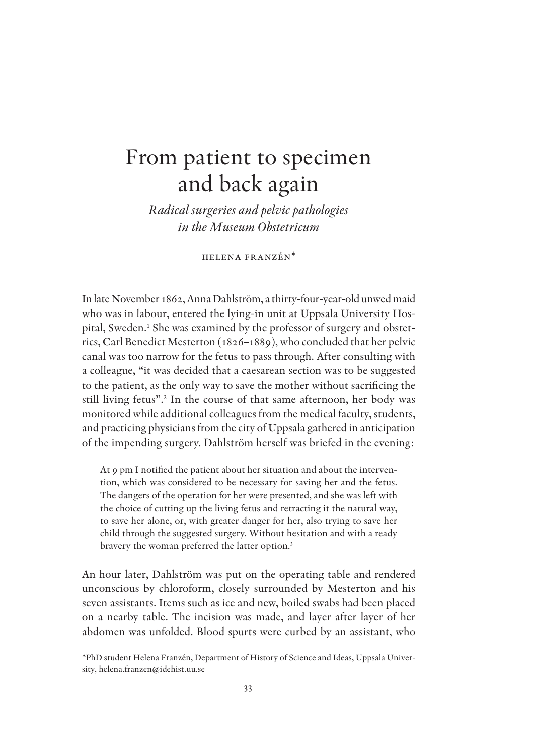# From patient to specimen and back again

*Radical surgeries and pelvic pathologies in the Museum Obstetricum*

HELENA FRANZÉN\*

In late November 1862, Anna Dahlström, a thirty-four-year-old unwed maid who was in labour, entered the lying-in unit at Uppsala University Hospital, Sweden.<sup>1</sup> She was examined by the professor of surgery and obstetrics, Carl Benedict Mesterton (1826–1889), who concluded that her pelvic canal was too narrow for the fetus to pass through. After consulting with a colleague, "it was decided that a caesarean section was to be suggested to the patient, as the only way to save the mother without sacrificing the still living fetus".<sup>2</sup> In the course of that same afternoon, her body was monitored while additional colleagues from the medical faculty, students, and practicing physicians from the city of Uppsala gathered in anticipation of the impending surgery. Dahlström herself was briefed in the evening:

At 9 pm I notified the patient about her situation and about the intervention, which was considered to be necessary for saving her and the fetus. The dangers of the operation for her were presented, and she was left with the choice of cutting up the living fetus and retracting it the natural way, to save her alone, or, with greater danger for her, also trying to save her child through the suggested surgery. Without hesitation and with a ready bravery the woman preferred the latter option.<sup>3</sup>

An hour later, Dahlström was put on the operating table and rendered unconscious by chloroform, closely surrounded by Mesterton and his seven assistants. Items such as ice and new, boiled swabs had been placed on a nearby table. The incision was made, and layer after layer of her abdomen was unfolded. Blood spurts were curbed by an assistant, who

<sup>\*</sup>PhD student Helena Franzén, Department of History of Science and Ideas, Uppsala University, helena.franzen@idehist.uu.se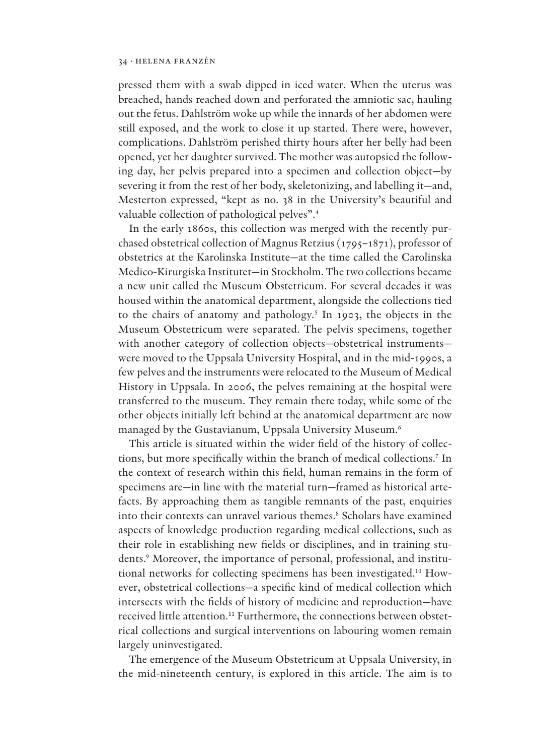pressed them with a swab dipped in iced water. When the uterus was breached, hands reached down and perforated the amniotic sac, hauling out the fetus. Dahlström woke up while the innards of her abdomen were still exposed, and the work to close it up started. There were, however, complications. Dahlström perished thirty hours after her belly had been opened, yet her daughter survived. The mother was autopsied the following day, her pelvis prepared into a specimen and collection object—by severing it from the rest of her body, skeletonizing, and labelling it—and, Mesterton expressed, "kept as no. 38 in the University's beautiful and valuable collection of pathological pelves".<sup>4</sup>

In the early 1860s, this collection was merged with the recently purchased obstetrical collection of Magnus Retzius (1795–1871), professor of obstetrics at the Karolinska Institute—at the time called the Carolinska Medico-Kirurgiska Institutet—in Stockholm. The two collections became a new unit called the Museum Obstetricum. For several decades it was housed within the anatomical department, alongside the collections tied to the chairs of anatomy and pathology.<sup>5</sup> In 1903, the objects in the Museum Obstetricum were separated. The pelvis specimens, together with another category of collection objects—obstetrical instruments were moved to the Uppsala University Hospital, and in the mid-1990s, a few pelves and the instruments were relocated to the Museum of Medical History in Uppsala. In 2006, the pelves remaining at the hospital were transferred to the museum. They remain there today, while some of the other objects initially left behind at the anatomical department are now managed by the Gustavianum, Uppsala University Museum.<sup>6</sup>

This article is situated within the wider field of the history of collections, but more specifically within the branch of medical collections.<sup>7</sup> In the context of research within this field, human remains in the form of specimens are—in line with the material turn—framed as historical artefacts. By approaching them as tangible remnants of the past, enquiries into their contexts can unravel various themes.<sup>8</sup> Scholars have examined aspects of knowledge production regarding medical collections, such as their role in establishing new fields or disciplines, and in training students.<sup>9</sup> Moreover, the importance of personal, professional, and institutional networks for collecting specimens has been investigated.10 However, obstetrical collections-a specific kind of medical collection which intersects with the fields of history of medicine and reproduction—have received little attention.<sup>11</sup> Furthermore, the connections between obstetrical collections and surgical interventions on labouring women remain largely uninvestigated.

The emergence of the Museum Obstetricum at Uppsala University, in the mid-nineteenth century, is explored in this article. The aim is to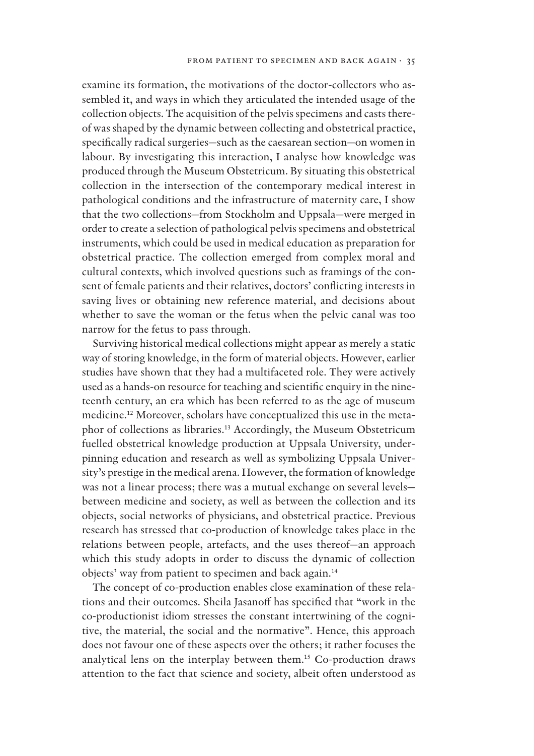examine its formation, the motivations of the doctor-collectors who assembled it, and ways in which they articulated the intended usage of the collection objects. The acquisition of the pelvis specimens and casts thereof was shaped by the dynamic between collecting and obstetrical practice, specifically radical surgeries—such as the caesarean section—on women in labour. By investigating this interaction, I analyse how knowledge was produced through the Museum Obstetricum. By situating this obstetrical collection in the intersection of the contemporary medical interest in pathological conditions and the infrastructure of maternity care, I show that the two collections—from Stockholm and Uppsala—were merged in order to create a selection of pathological pelvis specimens and obstetrical instruments, which could be used in medical education as preparation for obstetrical practice. The collection emerged from complex moral and cultural contexts, which involved questions such as framings of the consent of female patients and their relatives, doctors' conflicting interests in saving lives or obtaining new reference material, and decisions about whether to save the woman or the fetus when the pelvic canal was too narrow for the fetus to pass through.

Surviving historical medical collections might appear as merely a static way of storing knowledge, in the form of material objects. However, earlier studies have shown that they had a multifaceted role. They were actively used as a hands-on resource for teaching and scientific enquiry in the nineteenth century, an era which has been referred to as the age of museum medicine.12 Moreover, scholars have conceptualized this use in the metaphor of collections as libraries.<sup>13</sup> Accordingly, the Museum Obstetricum fuelled obstetrical knowledge production at Uppsala University, underpinning education and research as well as symbolizing Uppsala University's prestige in the medical arena. However, the formation of knowledge was not a linear process; there was a mutual exchange on several levels between medicine and society, as well as between the collection and its objects, social networks of physicians, and obstetrical practice. Previous research has stressed that co-production of knowledge takes place in the relations between people, artefacts, and the uses thereof—an approach which this study adopts in order to discuss the dynamic of collection objects' way from patient to specimen and back again.<sup>14</sup>

The concept of co-production enables close examination of these relations and their outcomes. Sheila Jasanoff has specified that "work in the co-productionist idiom stresses the constant intertwining of the cognitive, the material, the social and the normative". Hence, this approach does not favour one of these aspects over the others; it rather focuses the analytical lens on the interplay between them.<sup>15</sup> Co-production draws attention to the fact that science and society, albeit often understood as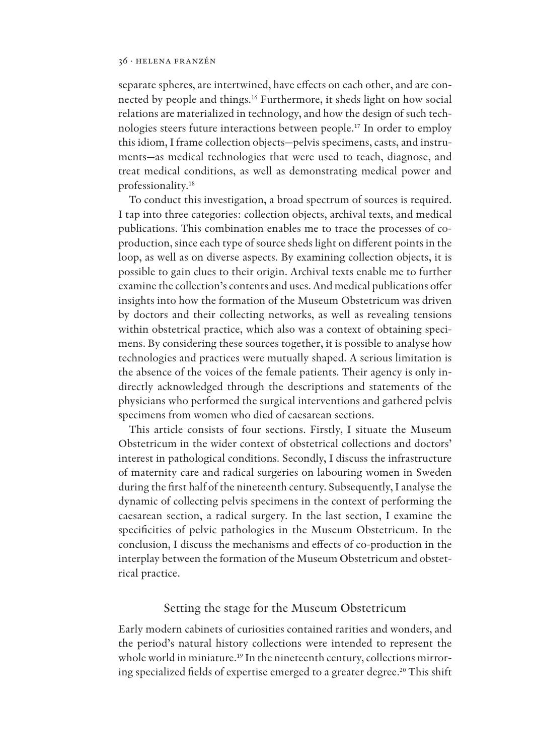separate spheres, are intertwined, have effects on each other, and are connected by people and things.<sup>16</sup> Furthermore, it sheds light on how social relations are materialized in technology, and how the design of such technologies steers future interactions between people.<sup>17</sup> In order to employ this idiom, I frame collection objects—pelvis specimens, casts, and instruments—as medical technologies that were used to teach, diagnose, and treat medical conditions, as well as demonstrating medical power and professionality.<sup>18</sup>

To conduct this investigation, a broad spectrum of sources is required. I tap into three categories: collection objects, archival texts, and medical publications. This combination enables me to trace the processes of coproduction, since each type of source sheds light on different points in the loop, as well as on diverse aspects. By examining collection objects, it is possible to gain clues to their origin. Archival texts enable me to further examine the collection's contents and uses. And medical publications offer insights into how the formation of the Museum Obstetricum was driven by doctors and their collecting networks, as well as revealing tensions within obstetrical practice, which also was a context of obtaining specimens. By considering these sources together, it is possible to analyse how technologies and practices were mutually shaped. A serious limitation is the absence of the voices of the female patients. Their agency is only indirectly acknowledged through the descriptions and statements of the physicians who performed the surgical interventions and gathered pelvis specimens from women who died of caesarean sections.

This article consists of four sections. Firstly, I situate the Museum Obstetricum in the wider context of obstetrical collections and doctors' interest in pathological conditions. Secondly, I discuss the infrastructure of maternity care and radical surgeries on labouring women in Sweden during the first half of the nineteenth century. Subsequently, I analyse the dynamic of collecting pelvis specimens in the context of performing the caesarean section, a radical surgery. In the last section, I examine the specificities of pelvic pathologies in the Museum Obstetricum. In the conclusion, I discuss the mechanisms and effects of co-production in the interplay between the formation of the Museum Obstetricum and obstetrical practice.

# Setting the stage for the Museum Obstetricum

Early modern cabinets of curiosities contained rarities and wonders, and the period's natural history collections were intended to represent the whole world in miniature.<sup>19</sup> In the nineteenth century, collections mirroring specialized fields of expertise emerged to a greater degree.<sup>20</sup> This shift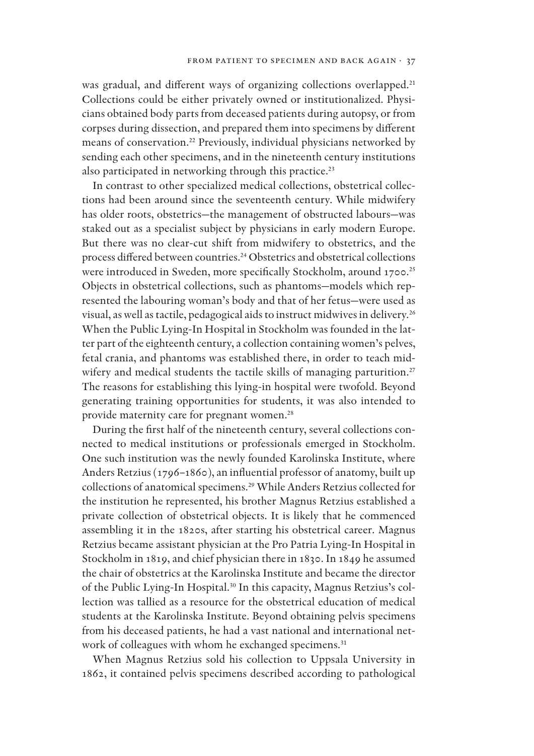was gradual, and different ways of organizing collections overlapped.<sup>21</sup> Collections could be either privately owned or institutionalized. Physicians obtained body parts from deceased patients during autopsy, or from corpses during dissection, and prepared them into specimens by different means of conservation.<sup>22</sup> Previously, individual physicians networked by sending each other specimens, and in the nineteenth century institutions also participated in networking through this practice.<sup>23</sup>

In contrast to other specialized medical collections, obstetrical collections had been around since the seventeenth century. While midwifery has older roots, obstetrics—the management of obstructed labours—was staked out as a specialist subject by physicians in early modern Europe. But there was no clear-cut shift from midwifery to obstetrics, and the process differed between countries.<sup>24</sup> Obstetrics and obstetrical collections were introduced in Sweden, more specifically Stockholm, around 1700.<sup>25</sup> Objects in obstetrical collections, such as phantoms—models which represented the labouring woman's body and that of her fetus—were used as visual, as well as tactile, pedagogical aids to instruct midwives in delivery.<sup>26</sup> When the Public Lying-In Hospital in Stockholm was founded in the latter part of the eighteenth century, a collection containing women's pelves, fetal crania, and phantoms was established there, in order to teach midwifery and medical students the tactile skills of managing parturition.<sup>27</sup> The reasons for establishing this lying-in hospital were twofold. Beyond generating training opportunities for students, it was also intended to provide maternity care for pregnant women.<sup>28</sup>

During the first half of the nineteenth century, several collections connected to medical institutions or professionals emerged in Stockholm. One such institution was the newly founded Karolinska Institute, where Anders Retzius (1796–1860), an influential professor of anatomy, built up collections of anatomical specimens.<sup>29</sup> While Anders Retzius collected for the institution he represented, his brother Magnus Retzius established a private collection of obstetrical objects. It is likely that he commenced assembling it in the 1820s, after starting his obstetrical career. Magnus Retzius became assistant physician at the Pro Patria Lying-In Hospital in Stockholm in 1819, and chief physician there in 1830. In 1849 he assumed the chair of obstetrics at the Karolinska Institute and became the director of the Public Lying-In Hospital.30 In this capacity, Magnus Retzius's collection was tallied as a resource for the obstetrical education of medical students at the Karolinska Institute. Beyond obtaining pelvis specimens from his deceased patients, he had a vast national and international network of colleagues with whom he exchanged specimens.<sup>31</sup>

When Magnus Retzius sold his collection to Uppsala University in 1862, it contained pelvis specimens described according to pathological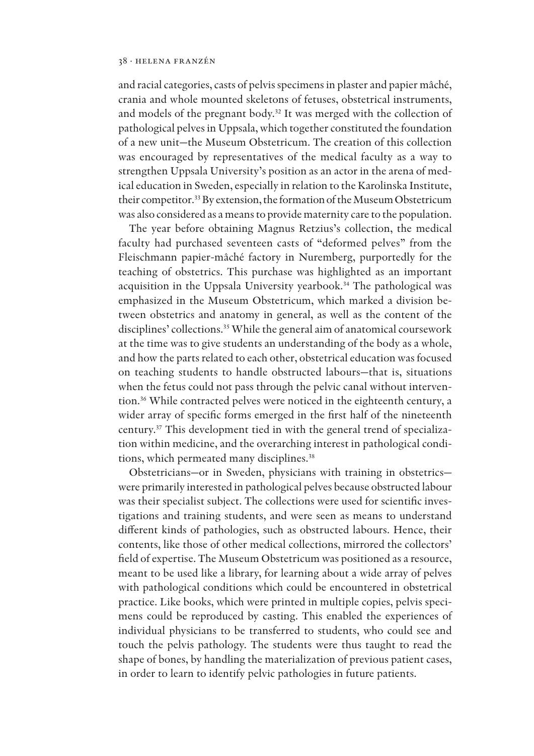and racial categories, casts of pelvis specimens in plaster and papier mâché, crania and whole mounted skeletons of fetuses, obstetrical instruments, and models of the pregnant body.<sup>32</sup> It was merged with the collection of pathological pelves in Uppsala, which together constituted the foundation of a new unit—the Museum Obstetricum. The creation of this collection was encouraged by representatives of the medical faculty as a way to strengthen Uppsala University's position as an actor in the arena of medical education in Sweden, especially in relation to the Karolinska Institute, their competitor.<sup>33</sup> By extension, the formation of the Museum Obstetricum was also considered as a means to provide maternity care to the population.

The year before obtaining Magnus Retzius's collection, the medical faculty had purchased seventeen casts of "deformed pelves" from the Fleischmann papier-mâché factory in Nuremberg, purportedly for the teaching of obstetrics. This purchase was highlighted as an important acquisition in the Uppsala University yearbook.<sup>34</sup> The pathological was emphasized in the Museum Obstetricum, which marked a division between obstetrics and anatomy in general, as well as the content of the disciplines' collections.<sup>35</sup> While the general aim of anatomical coursework at the time was to give students an understanding of the body as a whole, and how the parts related to each other, obstetrical education was focused on teaching students to handle obstructed labours—that is, situations when the fetus could not pass through the pelvic canal without intervention.<sup>36</sup> While contracted pelves were noticed in the eighteenth century, a wider array of specific forms emerged in the first half of the nineteenth century.37 This development tied in with the general trend of specialization within medicine, and the overarching interest in pathological conditions, which permeated many disciplines.<sup>38</sup>

Obstetricians—or in Sweden, physicians with training in obstetrics were primarily interested in pathological pelves because obstructed labour was their specialist subject. The collections were used for scientific investigations and training students, and were seen as means to understand different kinds of pathologies, such as obstructed labours. Hence, their contents, like those of other medical collections, mirrored the collectors' field of expertise. The Museum Obstetricum was positioned as a resource, meant to be used like a library, for learning about a wide array of pelves with pathological conditions which could be encountered in obstetrical practice. Like books, which were printed in multiple copies, pelvis specimens could be reproduced by casting. This enabled the experiences of individual physicians to be transferred to students, who could see and touch the pelvis pathology. The students were thus taught to read the shape of bones, by handling the materialization of previous patient cases, in order to learn to identify pelvic pathologies in future patients.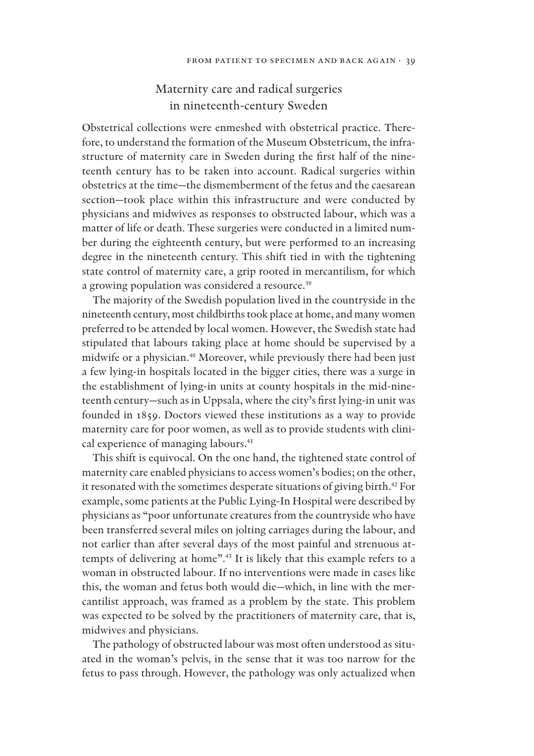# Maternity care and radical surgeries in nineteenth-century Sweden

Obstetrical collections were enmeshed with obstetrical practice. Therefore, to understand the formation of the Museum Obstetricum, the infrastructure of maternity care in Sweden during the first half of the nineteenth century has to be taken into account. Radical surgeries within obstetrics at the time—the dismemberment of the fetus and the caesarean section—took place within this infrastructure and were conducted by physicians and midwives as responses to obstructed labour, which was a matter of life or death. These surgeries were conducted in a limited number during the eighteenth century, but were performed to an increasing degree in the nineteenth century. This shift tied in with the tightening state control of maternity care, a grip rooted in mercantilism, for which a growing population was considered a resource.<sup>39</sup>

The majority of the Swedish population lived in the countryside in the nineteenth century, most childbirths took place at home, and many women preferred to be attended by local women. However, the Swedish state had stipulated that labours taking place at home should be supervised by a midwife or a physician.<sup>40</sup> Moreover, while previously there had been just a few lying-in hospitals located in the bigger cities, there was a surge in the establishment of lying-in units at county hospitals in the mid-nineteenth century—such as in Uppsala, where the city's first lying-in unit was founded in 1859. Doctors viewed these institutions as a way to provide maternity care for poor women, as well as to provide students with clinical experience of managing labours.<sup>41</sup>

This shift is equivocal. On the one hand, the tightened state control of maternity care enabled physicians to access women's bodies; on the other, it resonated with the sometimes desperate situations of giving birth.<sup>42</sup> For example, some patients at the Public Lying-In Hospital were described by physicians as "poor unfortunate creatures from the countryside who have been transferred several miles on jolting carriages during the labour, and not earlier than after several days of the most painful and strenuous attempts of delivering at home".<sup>43</sup> It is likely that this example refers to a woman in obstructed labour. If no interventions were made in cases like this, the woman and fetus both would die—which, in line with the mercantilist approach, was framed as a problem by the state. This problem was expected to be solved by the practitioners of maternity care, that is, midwives and physicians.

The pathology of obstructed labour was most often understood as situated in the woman's pelvis, in the sense that it was too narrow for the fetus to pass through. However, the pathology was only actualized when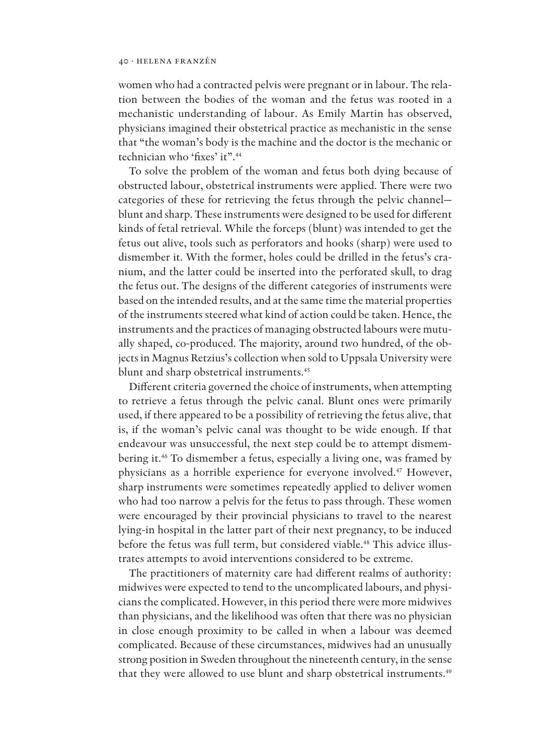women who had a contracted pelvis were pregnant or in labour. The relation between the bodies of the woman and the fetus was rooted in a mechanistic understanding of labour. As Emily Martin has observed, physicians imagined their obstetrical practice as mechanistic in the sense that "the woman's body is the machine and the doctor is the mechanic or technician who 'fixes' it".<sup>44</sup>

To solve the problem of the woman and fetus both dying because of obstructed labour, obstetrical instruments were applied. There were two categories of these for retrieving the fetus through the pelvic channel blunt and sharp. These instruments were designed to be used for different kinds of fetal retrieval. While the forceps (blunt) was intended to get the fetus out alive, tools such as perforators and hooks (sharp) were used to dismember it. With the former, holes could be drilled in the fetus's cranium, and the latter could be inserted into the perforated skull, to drag the fetus out. The designs of the different categories of instruments were based on the intended results, and at the same time the material properties of the instruments steered what kind of action could be taken. Hence, the instruments and the practices of managing obstructed labours were mutually shaped, co-produced. The majority, around two hundred, of the objects in Magnus Retzius's collection when sold to Uppsala University were blunt and sharp obstetrical instruments.<sup>45</sup>

Different criteria governed the choice of instruments, when attempting to retrieve a fetus through the pelvic canal. Blunt ones were primarily used, if there appeared to be a possibility of retrieving the fetus alive, that is, if the woman's pelvic canal was thought to be wide enough. If that endeavour was unsuccessful, the next step could be to attempt dismembering it.<sup>46</sup> To dismember a fetus, especially a living one, was framed by physicians as a horrible experience for everyone involved.<sup>47</sup> However, sharp instruments were sometimes repeatedly applied to deliver women who had too narrow a pelvis for the fetus to pass through. These women were encouraged by their provincial physicians to travel to the nearest lying-in hospital in the latter part of their next pregnancy, to be induced before the fetus was full term, but considered viable.<sup>48</sup> This advice illustrates attempts to avoid interventions considered to be extreme.

The practitioners of maternity care had different realms of authority: midwives were expected to tend to the uncomplicated labours, and physicians the complicated. However, in this period there were more midwives than physicians, and the likelihood was often that there was no physician in close enough proximity to be called in when a labour was deemed complicated. Because of these circumstances, midwives had an unusually strong position in Sweden throughout the nineteenth century, in the sense that they were allowed to use blunt and sharp obstetrical instruments.<sup>49</sup>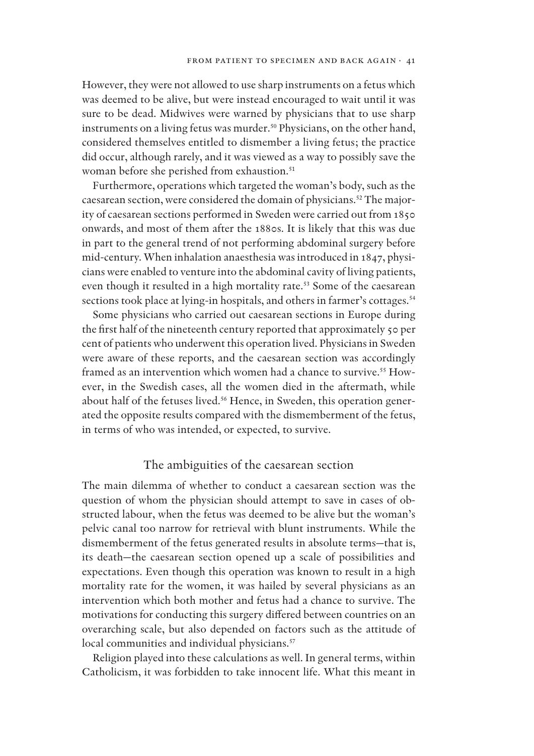However, they were not allowed to use sharp instruments on a fetus which was deemed to be alive, but were instead encouraged to wait until it was sure to be dead. Midwives were warned by physicians that to use sharp instruments on a living fetus was murder.<sup>50</sup> Physicians, on the other hand, considered themselves entitled to dismember a living fetus; the practice did occur, although rarely, and it was viewed as a way to possibly save the woman before she perished from exhaustion.<sup>51</sup>

Furthermore, operations which targeted the woman's body, such as the caesarean section, were considered the domain of physicians.52 The majority of caesarean sections performed in Sweden were carried out from 1850 onwards, and most of them after the 1880s. It is likely that this was due in part to the general trend of not performing abdominal surgery before mid-century. When inhalation anaesthesia was introduced in 1847, physicians were enabled to venture into the abdominal cavity of living patients, even though it resulted in a high mortality rate.<sup>53</sup> Some of the caesarean sections took place at lying-in hospitals, and others in farmer's cottages.<sup>54</sup>

Some physicians who carried out caesarean sections in Europe during the first half of the nineteenth century reported that approximately 50 per cent of patients who underwent this operation lived. Physicians in Sweden were aware of these reports, and the caesarean section was accordingly framed as an intervention which women had a chance to survive.<sup>55</sup> However, in the Swedish cases, all the women died in the aftermath, while about half of the fetuses lived.<sup>56</sup> Hence, in Sweden, this operation generated the opposite results compared with the dismemberment of the fetus, in terms of who was intended, or expected, to survive.

# The ambiguities of the caesarean section

The main dilemma of whether to conduct a caesarean section was the question of whom the physician should attempt to save in cases of obstructed labour, when the fetus was deemed to be alive but the woman's pelvic canal too narrow for retrieval with blunt instruments. While the dismemberment of the fetus generated results in absolute terms—that is, its death—the caesarean section opened up a scale of possibilities and expectations. Even though this operation was known to result in a high mortality rate for the women, it was hailed by several physicians as an intervention which both mother and fetus had a chance to survive. The motivations for conducting this surgery differed between countries on an overarching scale, but also depended on factors such as the attitude of local communities and individual physicians.<sup>57</sup>

Religion played into these calculations as well. In general terms, within Catholicism, it was forbidden to take innocent life. What this meant in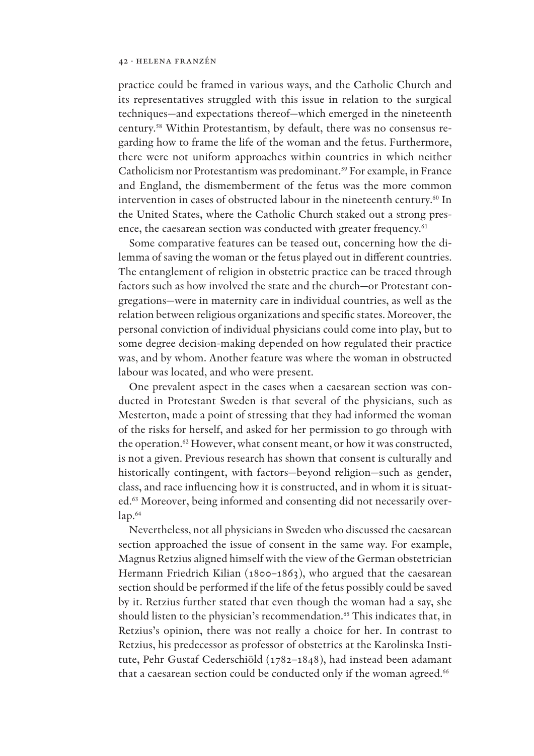practice could be framed in various ways, and the Catholic Church and its representatives struggled with this issue in relation to the surgical techniques—and expectations thereof—which emerged in the nineteenth century.58 Within Protestantism, by default, there was no consensus regarding how to frame the life of the woman and the fetus. Furthermore, there were not uniform approaches within countries in which neither Catholicism nor Protestantism was predominant.<sup>59</sup> For example, in France and England, the dismemberment of the fetus was the more common intervention in cases of obstructed labour in the nineteenth century.<sup>60</sup> In the United States, where the Catholic Church staked out a strong presence, the caesarean section was conducted with greater frequency.<sup>61</sup>

Some comparative features can be teased out, concerning how the dilemma of saving the woman or the fetus played out in different countries. The entanglement of religion in obstetric practice can be traced through factors such as how involved the state and the church—or Protestant congregations—were in maternity care in individual countries, as well as the relation between religious organizations and specific states. Moreover, the personal conviction of individual physicians could come into play, but to some degree decision-making depended on how regulated their practice was, and by whom. Another feature was where the woman in obstructed labour was located, and who were present.

One prevalent aspect in the cases when a caesarean section was conducted in Protestant Sweden is that several of the physicians, such as Mesterton, made a point of stressing that they had informed the woman of the risks for herself, and asked for her permission to go through with the operation.<sup>62</sup> However, what consent meant, or how it was constructed, is not a given. Previous research has shown that consent is culturally and historically contingent, with factors—beyond religion—such as gender, class, and race influencing how it is constructed, and in whom it is situated.<sup>63</sup> Moreover, being informed and consenting did not necessarily over $lap.<sup>64</sup>$ 

Nevertheless, not all physicians in Sweden who discussed the caesarean section approached the issue of consent in the same way. For example, Magnus Retzius aligned himself with the view of the German obstetrician Hermann Friedrich Kilian (1800–1863), who argued that the caesarean section should be performed if the life of the fetus possibly could be saved by it. Retzius further stated that even though the woman had a say, she should listen to the physician's recommendation.<sup>65</sup> This indicates that, in Retzius's opinion, there was not really a choice for her. In contrast to Retzius, his predecessor as professor of obstetrics at the Karolinska Institute, Pehr Gustaf Cederschiöld (1782–1848), had instead been adamant that a caesarean section could be conducted only if the woman agreed.<sup>66</sup>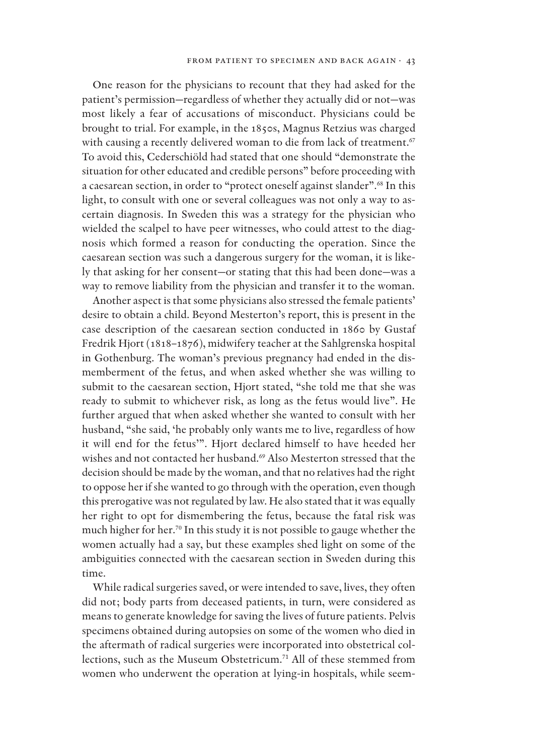One reason for the physicians to recount that they had asked for the patient's permission—regardless of whether they actually did or not—was most likely a fear of accusations of misconduct. Physicians could be brought to trial. For example, in the 1850s, Magnus Retzius was charged with causing a recently delivered woman to die from lack of treatment.<sup>67</sup> To avoid this, Cederschiöld had stated that one should "demonstrate the situation for other educated and credible persons" before proceeding with a caesarean section, in order to "protect oneself against slander".<sup>68</sup> In this light, to consult with one or several colleagues was not only a way to ascertain diagnosis. In Sweden this was a strategy for the physician who wielded the scalpel to have peer witnesses, who could attest to the diagnosis which formed a reason for conducting the operation. Since the caesarean section was such a dangerous surgery for the woman, it is likely that asking for her consent—or stating that this had been done—was a way to remove liability from the physician and transfer it to the woman.

Another aspect is that some physicians also stressed the female patients' desire to obtain a child. Beyond Mesterton's report, this is present in the case description of the caesarean section conducted in 1860 by Gustaf Fredrik Hjort (1818–1876), midwifery teacher at the Sahlgrenska hospital in Gothenburg. The woman's previous pregnancy had ended in the dismemberment of the fetus, and when asked whether she was willing to submit to the caesarean section, Hjort stated, "she told me that she was ready to submit to whichever risk, as long as the fetus would live". He further argued that when asked whether she wanted to consult with her husband, "she said, 'he probably only wants me to live, regardless of how it will end for the fetus'". Hjort declared himself to have heeded her wishes and not contacted her husband.<sup>69</sup> Also Mesterton stressed that the decision should be made by the woman, and that no relatives had the right to oppose her if she wanted to go through with the operation, even though this prerogative was not regulated by law. He also stated that it was equally her right to opt for dismembering the fetus, because the fatal risk was much higher for her.<sup>70</sup> In this study it is not possible to gauge whether the women actually had a say, but these examples shed light on some of the ambiguities connected with the caesarean section in Sweden during this time.

While radical surgeries saved, or were intended to save, lives, they often did not; body parts from deceased patients, in turn, were considered as means to generate knowledge for saving the lives of future patients. Pelvis specimens obtained during autopsies on some of the women who died in the aftermath of radical surgeries were incorporated into obstetrical collections, such as the Museum Obstetricum.<sup>71</sup> All of these stemmed from women who underwent the operation at lying-in hospitals, while seem-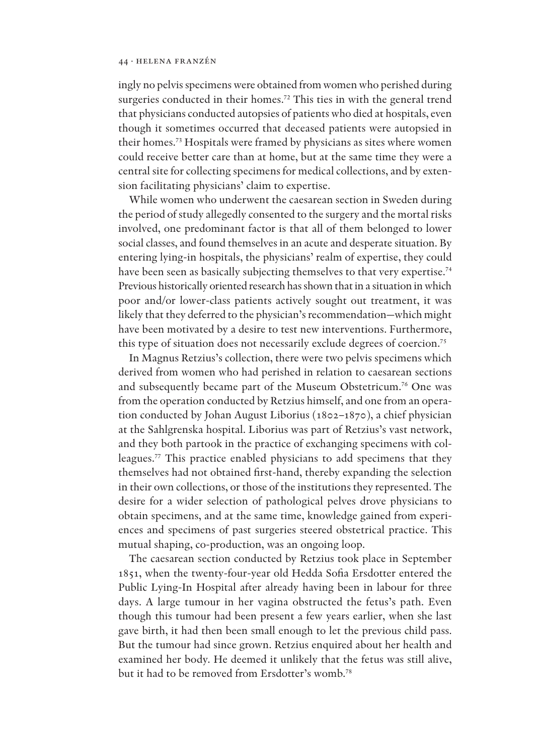ingly no pelvis specimens were obtained from women who perished during surgeries conducted in their homes.<sup>72</sup> This ties in with the general trend that physicians conducted autopsies of patients who died at hospitals, even though it sometimes occurred that deceased patients were autopsied in their homes.<sup>73</sup> Hospitals were framed by physicians as sites where women could receive better care than at home, but at the same time they were a central site for collecting specimens for medical collections, and by extension facilitating physicians' claim to expertise.

While women who underwent the caesarean section in Sweden during the period of study allegedly consented to the surgery and the mortal risks involved, one predominant factor is that all of them belonged to lower social classes, and found themselves in an acute and desperate situation. By entering lying-in hospitals, the physicians' realm of expertise, they could have been seen as basically subjecting themselves to that very expertise.<sup>74</sup> Previous historically oriented research has shown that in a situation in which poor and/or lower-class patients actively sought out treatment, it was likely that they deferred to the physician's recommendation—which might have been motivated by a desire to test new interventions. Furthermore, this type of situation does not necessarily exclude degrees of coercion.<sup>75</sup>

In Magnus Retzius's collection, there were two pelvis specimens which derived from women who had perished in relation to caesarean sections and subsequently became part of the Museum Obstetricum.<sup>76</sup> One was from the operation conducted by Retzius himself, and one from an operation conducted by Johan August Liborius (1802–1870), a chief physician at the Sahlgrenska hospital. Liborius was part of Retzius's vast network, and they both partook in the practice of exchanging specimens with colleagues.<sup>77</sup> This practice enabled physicians to add specimens that they themselves had not obtained first-hand, thereby expanding the selection in their own collections, or those of the institutions they represented. The desire for a wider selection of pathological pelves drove physicians to obtain specimens, and at the same time, knowledge gained from experiences and specimens of past surgeries steered obstetrical practice. This mutual shaping, co-production, was an ongoing loop.

The caesarean section conducted by Retzius took place in September 1851, when the twenty-four-year old Hedda Sofia Ersdotter entered the Public Lying-In Hospital after already having been in labour for three days. A large tumour in her vagina obstructed the fetus's path. Even though this tumour had been present a few years earlier, when she last gave birth, it had then been small enough to let the previous child pass. But the tumour had since grown. Retzius enquired about her health and examined her body. He deemed it unlikely that the fetus was still alive, but it had to be removed from Ersdotter's womb.78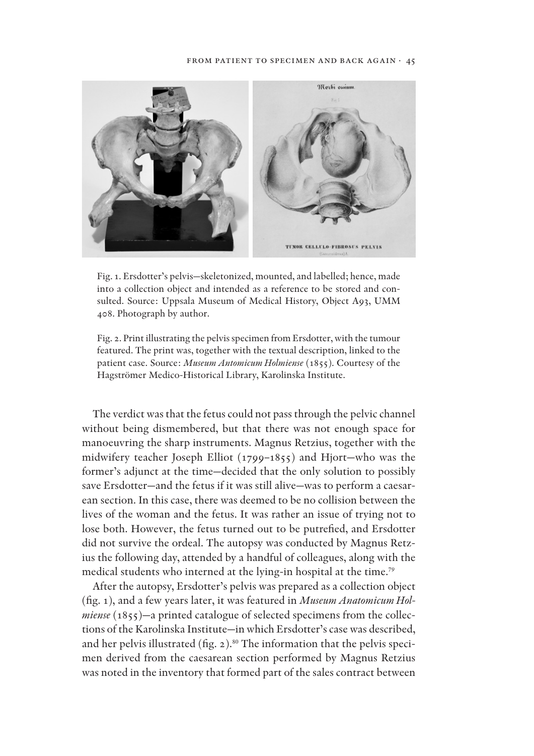#### FROM PATIENT TO SPECIMEN AND BACK AGAIN · 45



Fig. 1. Ersdotter's pelvis—skeletonized, mounted, and labelled; hence, made into a collection object and intended as a reference to be stored and consulted. Source: Uppsala Museum of Medical History, Object A93, UMM 408. Photograph by author.

Fig. 2. Print illustrating the pelvis specimen from Ersdotter, with the tumour featured. The print was, together with the textual description, linked to the patient case. Source: *Museum Antomicum Holmiense* (1855). Courtesy of the Hagströmer Medico-Historical Library, Karolinska Institute.

The verdict was that the fetus could not pass through the pelvic channel without being dismembered, but that there was not enough space for manoeuvring the sharp instruments. Magnus Retzius, together with the midwifery teacher Joseph Elliot (1799–1855) and Hjort—who was the former's adjunct at the time—decided that the only solution to possibly save Ersdotter—and the fetus if it was still alive—was to perform a caesarean section. In this case, there was deemed to be no collision between the lives of the woman and the fetus. It was rather an issue of trying not to lose both. However, the fetus turned out to be putrefied, and Ersdotter did not survive the ordeal. The autopsy was conducted by Magnus Retzius the following day, attended by a handful of colleagues, along with the medical students who interned at the lying-in hospital at the time.<sup>79</sup>

After the autopsy, Ersdotter's pelvis was prepared as a collection object (fig. 1), and a few years later, it was featured in *Museum Anatomicum Holmiense* (1855)—a printed catalogue of selected specimens from the collections of the Karolinska Institute—in which Ersdotter's case was described, and her pelvis illustrated (fig. 2).<sup>80</sup> The information that the pelvis specimen derived from the caesarean section performed by Magnus Retzius was noted in the inventory that formed part of the sales contract between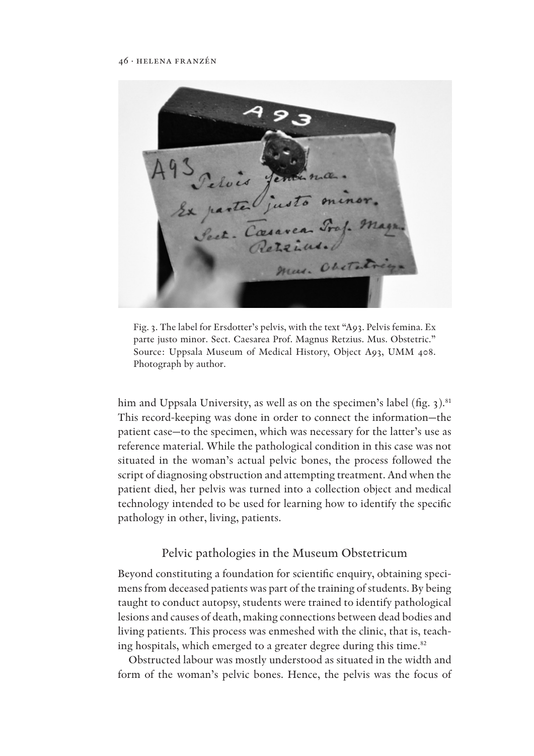Exparte justo minor. mus. Obsta

Fig. 3. The label for Ersdotter's pelvis, with the text "A93. Pelvis femina. Ex parte justo minor. Sect. Caesarea Prof. Magnus Retzius. Mus. Obstetric." Source: Uppsala Museum of Medical History, Object A93, UMM 408. Photograph by author.

him and Uppsala University, as well as on the specimen's label (fig.  $3$ ).<sup>81</sup> This record-keeping was done in order to connect the information—the patient case—to the specimen, which was necessary for the latter's use as reference material. While the pathological condition in this case was not situated in the woman's actual pelvic bones, the process followed the script of diagnosing obstruction and attempting treatment. And when the patient died, her pelvis was turned into a collection object and medical technology intended to be used for learning how to identify the specific pathology in other, living, patients.

# Pelvic pathologies in the Museum Obstetricum

Beyond constituting a foundation for scientific enquiry, obtaining specimens from deceased patients was part of the training of students. By being taught to conduct autopsy, students were trained to identify pathological lesions and causes of death, making connections between dead bodies and living patients. This process was enmeshed with the clinic, that is, teaching hospitals, which emerged to a greater degree during this time.<sup>82</sup>

Obstructed labour was mostly understood as situated in the width and form of the woman's pelvic bones. Hence, the pelvis was the focus of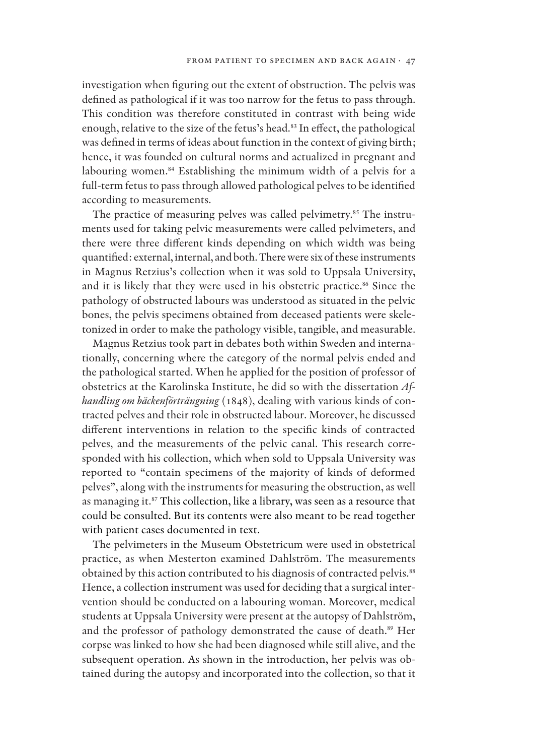investigation when figuring out the extent of obstruction. The pelvis was defined as pathological if it was too narrow for the fetus to pass through. This condition was therefore constituted in contrast with being wide enough, relative to the size of the fetus's head.<sup>83</sup> In effect, the pathological was defined in terms of ideas about function in the context of giving birth; hence, it was founded on cultural norms and actualized in pregnant and labouring women.<sup>84</sup> Establishing the minimum width of a pelvis for a full-term fetus to pass through allowed pathological pelves to be identified according to measurements.

The practice of measuring pelves was called pelvimetry.<sup>85</sup> The instruments used for taking pelvic measurements were called pelvimeters, and there were three different kinds depending on which width was being quantified: external, internal, and both. There were six of these instruments in Magnus Retzius's collection when it was sold to Uppsala University, and it is likely that they were used in his obstetric practice.<sup>86</sup> Since the pathology of obstructed labours was understood as situated in the pelvic bones, the pelvis specimens obtained from deceased patients were skeletonized in order to make the pathology visible, tangible, and measurable.

Magnus Retzius took part in debates both within Sweden and internationally, concerning where the category of the normal pelvis ended and the pathological started. When he applied for the position of professor of obstetrics at the Karolinska Institute, he did so with the dissertation *Afhandling om bäckenförträngning* (1848), dealing with various kinds of contracted pelves and their role in obstructed labour. Moreover, he discussed different interventions in relation to the specific kinds of contracted pelves, and the measurements of the pelvic canal. This research corresponded with his collection, which when sold to Uppsala University was reported to "contain specimens of the majority of kinds of deformed pelves", along with the instruments for measuring the obstruction, as well as managing it.<sup>87</sup> This collection, like a library, was seen as a resource that could be consulted. But its contents were also meant to be read together with patient cases documented in text.

The pelvimeters in the Museum Obstetricum were used in obstetrical practice, as when Mesterton examined Dahlström. The measurements obtained by this action contributed to his diagnosis of contracted pelvis.<sup>88</sup> Hence, a collection instrument was used for deciding that a surgical intervention should be conducted on a labouring woman. Moreover, medical students at Uppsala University were present at the autopsy of Dahlström, and the professor of pathology demonstrated the cause of death.<sup>89</sup> Her corpse was linked to how she had been diagnosed while still alive, and the subsequent operation. As shown in the introduction, her pelvis was obtained during the autopsy and incorporated into the collection, so that it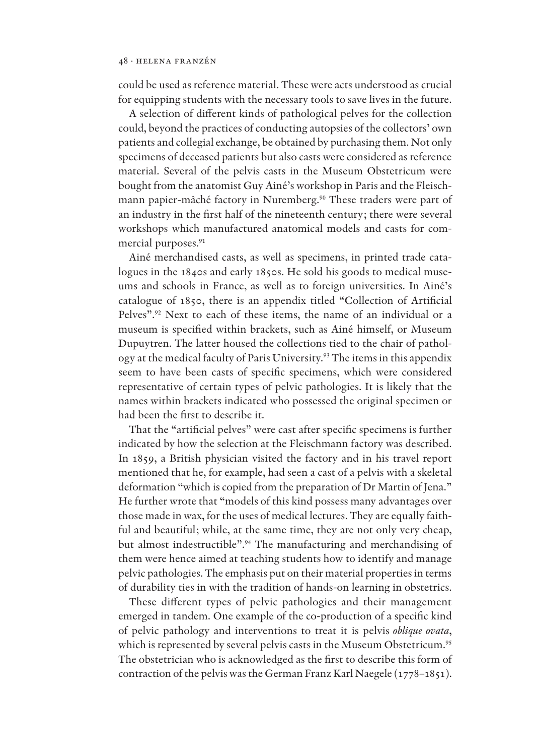could be used as reference material. These were acts understood as crucial for equipping students with the necessary tools to save lives in the future.

A selection of different kinds of pathological pelves for the collection could, beyond the practices of conducting autopsies of the collectors' own patients and collegial exchange, be obtained by purchasing them. Not only specimens of deceased patients but also casts were considered as reference material. Several of the pelvis casts in the Museum Obstetricum were bought from the anatomist Guy Ainé's workshop in Paris and the Fleischmann papier-mâché factory in Nuremberg.<sup>90</sup> These traders were part of an industry in the first half of the nineteenth century; there were several workshops which manufactured anatomical models and casts for commercial purposes.<sup>91</sup>

Ainé merchandised casts, as well as specimens, in printed trade catalogues in the 1840s and early 1850s. He sold his goods to medical museums and schools in France, as well as to foreign universities. In Ainé's catalogue of 1850, there is an appendix titled "Collection of Artificial Pelves".<sup>92</sup> Next to each of these items, the name of an individual or a museum is specified within brackets, such as Ainé himself, or Museum Dupuytren. The latter housed the collections tied to the chair of pathology at the medical faculty of Paris University.<sup>93</sup> The items in this appendix seem to have been casts of specific specimens, which were considered representative of certain types of pelvic pathologies. It is likely that the names within brackets indicated who possessed the original specimen or had been the first to describe it.

That the "artificial pelves" were cast after specific specimens is further indicated by how the selection at the Fleischmann factory was described. In 1859, a British physician visited the factory and in his travel report mentioned that he, for example, had seen a cast of a pelvis with a skeletal deformation "which is copied from the preparation of Dr Martin of Jena." He further wrote that "models of this kind possess many advantages over those made in wax, for the uses of medical lectures. They are equally faithful and beautiful; while, at the same time, they are not only very cheap, but almost indestructible".<sup>94</sup> The manufacturing and merchandising of them were hence aimed at teaching students how to identify and manage pelvic pathologies. The emphasis put on their material properties in terms of durability ties in with the tradition of hands-on learning in obstetrics.

These different types of pelvic pathologies and their management emerged in tandem. One example of the co-production of a specific kind of pelvic pathology and interventions to treat it is pelvis *oblique ovata*, which is represented by several pelvis casts in the Museum Obstetricum.<sup>95</sup> The obstetrician who is acknowledged as the first to describe this form of contraction of the pelvis was the German Franz Karl Naegele (1778–1851).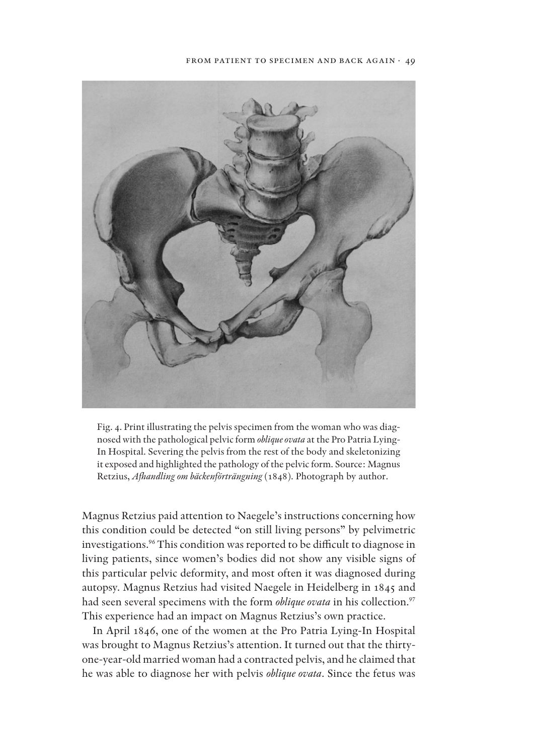

Fig. 4. Print illustrating the pelvis specimen from the woman who was diagnosed with the pathological pelvic form *oblique ovata* at the Pro Patria Lying-In Hospital. Severing the pelvis from the rest of the body and skeletonizing it exposed and highlighted the pathology of the pelvic form. Source: Magnus Retzius, *Afhandling om bäckenförträngning* (1848). Photograph by author.

Magnus Retzius paid attention to Naegele's instructions concerning how this condition could be detected "on still living persons" by pelvimetric investigations.<sup>96</sup> This condition was reported to be difficult to diagnose in living patients, since women's bodies did not show any visible signs of this particular pelvic deformity, and most often it was diagnosed during autopsy. Magnus Retzius had visited Naegele in Heidelberg in 1845 and had seen several specimens with the form *oblique ovata* in his collection.<sup>97</sup> This experience had an impact on Magnus Retzius's own practice.

In April 1846, one of the women at the Pro Patria Lying-In Hospital was brought to Magnus Retzius's attention. It turned out that the thirtyone-year-old married woman had a contracted pelvis, and he claimed that he was able to diagnose her with pelvis *oblique ovata*. Since the fetus was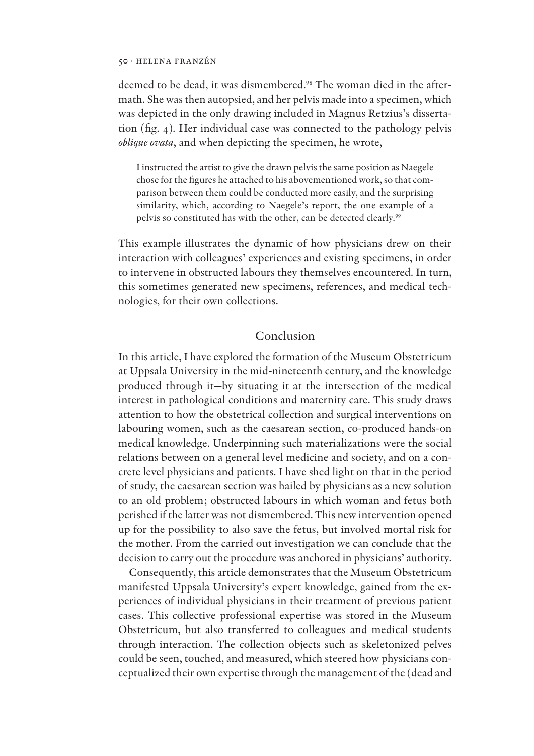deemed to be dead, it was dismembered.<sup>98</sup> The woman died in the aftermath. She was then autopsied, and her pelvis made into a specimen, which was depicted in the only drawing included in Magnus Retzius's dissertation (fig. 4). Her individual case was connected to the pathology pelvis *oblique ovata*, and when depicting the specimen, he wrote,

I instructed the artist to give the drawn pelvis the same position as Naegele chose for the figures he attached to his abovementioned work, so that comparison between them could be conducted more easily, and the surprising similarity, which, according to Naegele's report, the one example of a pelvis so constituted has with the other, can be detected clearly.<sup>99</sup>

This example illustrates the dynamic of how physicians drew on their interaction with colleagues' experiences and existing specimens, in order to intervene in obstructed labours they themselves encountered. In turn, this sometimes generated new specimens, references, and medical technologies, for their own collections.

# Conclusion

In this article, I have explored the formation of the Museum Obstetricum at Uppsala University in the mid-nineteenth century, and the knowledge produced through it—by situating it at the intersection of the medical interest in pathological conditions and maternity care. This study draws attention to how the obstetrical collection and surgical interventions on labouring women, such as the caesarean section, co-produced hands-on medical knowledge. Underpinning such materializations were the social relations between on a general level medicine and society, and on a concrete level physicians and patients. I have shed light on that in the period of study, the caesarean section was hailed by physicians as a new solution to an old problem; obstructed labours in which woman and fetus both perished if the latter was not dismembered. This new intervention opened up for the possibility to also save the fetus, but involved mortal risk for the mother. From the carried out investigation we can conclude that the decision to carry out the procedure was anchored in physicians' authority.

Consequently, this article demonstrates that the Museum Obstetricum manifested Uppsala University's expert knowledge, gained from the experiences of individual physicians in their treatment of previous patient cases. This collective professional expertise was stored in the Museum Obstetricum, but also transferred to colleagues and medical students through interaction. The collection objects such as skeletonized pelves could be seen, touched, and measured, which steered how physicians conceptualized their own expertise through the management of the (dead and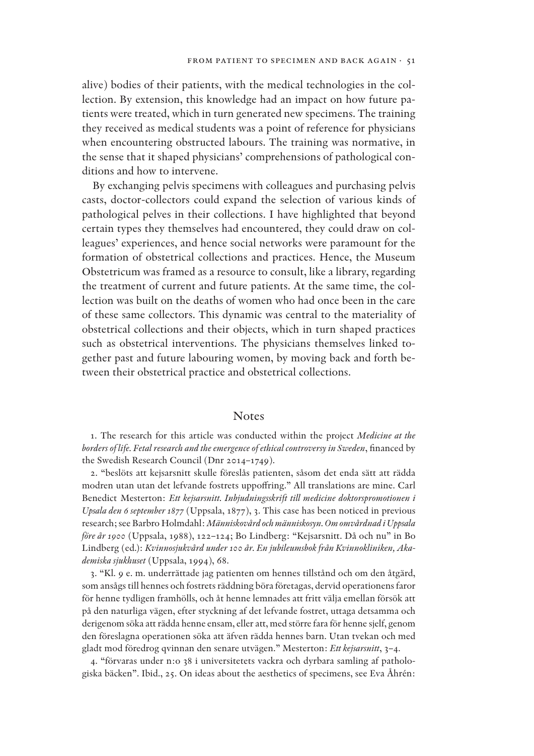alive) bodies of their patients, with the medical technologies in the collection. By extension, this knowledge had an impact on how future patients were treated, which in turn generated new specimens. The training they received as medical students was a point of reference for physicians when encountering obstructed labours. The training was normative, in the sense that it shaped physicians' comprehensions of pathological conditions and how to intervene.

By exchanging pelvis specimens with colleagues and purchasing pelvis casts, doctor-collectors could expand the selection of various kinds of pathological pelves in their collections. I have highlighted that beyond certain types they themselves had encountered, they could draw on colleagues' experiences, and hence social networks were paramount for the formation of obstetrical collections and practices. Hence, the Museum Obstetricum was framed as a resource to consult, like a library, regarding the treatment of current and future patients. At the same time, the collection was built on the deaths of women who had once been in the care of these same collectors. This dynamic was central to the materiality of obstetrical collections and their objects, which in turn shaped practices such as obstetrical interventions. The physicians themselves linked together past and future labouring women, by moving back and forth between their obstetrical practice and obstetrical collections.

### Notes

1. The research for this article was conducted within the project *Medicine at the*  borders of life. Fetal research and the emergence of ethical controversy in Sweden, financed by the Swedish Research Council (Dnr 2014–1749).

2. "beslöts att kejsarsnitt skulle föreslås patienten, såsom det enda sätt att rädda modren utan utan det lefvande fostrets uppoffring." All translations are mine. Carl Benedict Mesterton: *Ett kejsarsnitt. Inbjudningsskrift till medicine doktorspromotionen i Upsala den 6 september 1877* (Uppsala, 1877), 3. This case has been noticed in previous research; see Barbro Holmdahl: *Människovård och människosyn. Om omvårdnad i Uppsala före år 1900* (Uppsala, 1988), 122–124; Bo Lindberg: "Kejsarsnitt. Då och nu" in Bo Lindberg (ed.): *Kvinnosjukvård under 100 år. En jubileumsbok från Kvinnokliniken, Akademiska sjukhuset* (Uppsala, 1994), 68.

3. "Kl. 9 e. m. underrättade jag patienten om hennes tillstånd och om den åtgärd, som ansågs till hennes och fostrets räddning böra företagas, dervid operationens faror för henne tydligen framhölls, och åt henne lemnades att fritt välja emellan försök att på den naturliga vägen, efter styckning af det lefvande fostret, uttaga detsamma och derigenom söka att rädda henne ensam, eller att, med större fara för henne sjelf, genom den föreslagna operationen söka att äfven rädda hennes barn. Utan tvekan och med gladt mod föredrog qvinnan den senare utvägen." Mesterton: *Ett kejsarsnitt*, 3–4.

4. "förvaras under n:o 38 i universitetets vackra och dyrbara samling af pathologiska bäcken". Ibid., 25. On ideas about the aesthetics of specimens, see Eva Åhrén: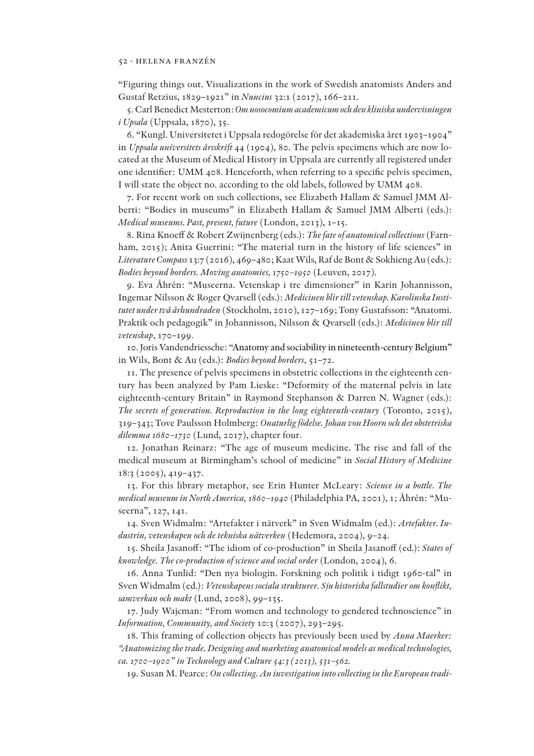"Figuring things out. Visualizations in the work of Swedish anatomists Anders and Gustaf Retzius, 1829–1921" in *Nuncius* 32:1 (2017), 166–211.

5. Carl Benedict Mesterton: *Om nosocomium academicum och den kliniska undervisningen i Upsala* (Uppsala, 1870), 35.

6. "Kungl. Universitetet i Uppsala redogörelse för det akademiska året 1903–1904" in *Uppsala universitets årsskrift* 44 (1904), 80. The pelvis specimens which are now located at the Museum of Medical History in Uppsala are currently all registered under one identifier: UMM 408. Henceforth, when referring to a specific pelvis specimen, I will state the object no. according to the old labels, followed by UMM 408.

7. For recent work on such collections, see Elizabeth Hallam & Samuel JMM Alberti: "Bodies in museums" in Elizabeth Hallam & Samuel JMM Alberti (eds.): *Medical museums. Past, present, future* (London, 2013), 1–15.

8. Rina Knoeff & Robert Zwijnenberg (eds.): *The fate of anatomical collections* (Farnham, 2015); Anita Guerrini: "The material turn in the history of life sciences" in *Literature Compass* 13:7 (2016), 469–480; Kaat Wils, Raf de Bont & Sokhieng Au (eds.): *Bodies beyond borders. Moving anatomies, 1750–1950* (Leuven, 2017).

9. Eva Åhrén: "Museerna. Vetenskap i tre dimensioner" in Karin Johannisson, Ingemar Nilsson & Roger Qvarsell (eds.): *Medicinen blir till vetenskap. Karolinska Institutet under två århundraden* (Stockholm, 2010), 127–169; Tony Gustafsson: "Anatomi. Praktik och pedagogik" in Johannisson, Nilsson & Qvarsell (eds.): *Medicinen blir till vetenskap*, 170–199.

10. Joris Vandendriessche: "Anatomy and sociability in nineteenth-century Belgium" in Wils, Bont & Au (eds.): *Bodies beyond borders*, 51–72.

11. The presence of pelvis specimens in obstetric collections in the eighteenth century has been analyzed by Pam Lieske: "Deformity of the maternal pelvis in late eighteenth-century Britain" in Raymond Stephanson & Darren N. Wagner (eds.): *The secrets of generation. Reproduction in the long eighteenth-century* (Toronto, 2015), 319–343; Tove Paulsson Holmberg: *Onaturlig födelse. Johan von Hoorn och det obstetriska dilemma 1680–1730* (Lund, 2017), chapter four.

12. Jonathan Reinarz: "The age of museum medicine. The rise and fall of the medical museum at Birmingham's school of medicine" in *Social History of Medicine* 18:3 (2005), 419–437.

13. For this library metaphor, see Erin Hunter McLeary: *Science in a bottle. The medical museum in North America, 1860–1940* (Philadelphia PA, 2001), 1; Åhrén: "Museerna", 127, 141.

14. Sven Widmalm: "Artefakter i nätverk" in Sven Widmalm (ed.): *Artefakter. Industrin, vetenskapen och de tekniska nätverken* (Hedemora, 2004), 9–24.

15. Sheila Jasanoff: "The idiom of co-production" in Sheila Jasanoff (ed.): States of *knowledge. The co-production of science and social order* (London, 2004), 6.

16. Anna Tunlid: "Den nya biologin. Forskning och politik i tidigt 1960-tal" in Sven Widmalm (ed.): *Vetenskapens sociala strukturer. Sju historiska fallstudier om konflikt, samverkan och makt* (Lund, 2008), 99–135.

17. Judy Wajcman: "From women and technology to gendered technoscience" in *Information, Community, and Society* 10:3 (2007), 293–295.

18. This framing of collection objects has previously been used by *Anna Maerker: "Anatomizing the trade. Designing and marketing anatomical models as medical technologies, ca. 1700–1900" in Technology and Culture 54:3 (2013), 531–562.*

19. Susan M. Pearce: *On collecting. An investigation into collecting in the European tradi-*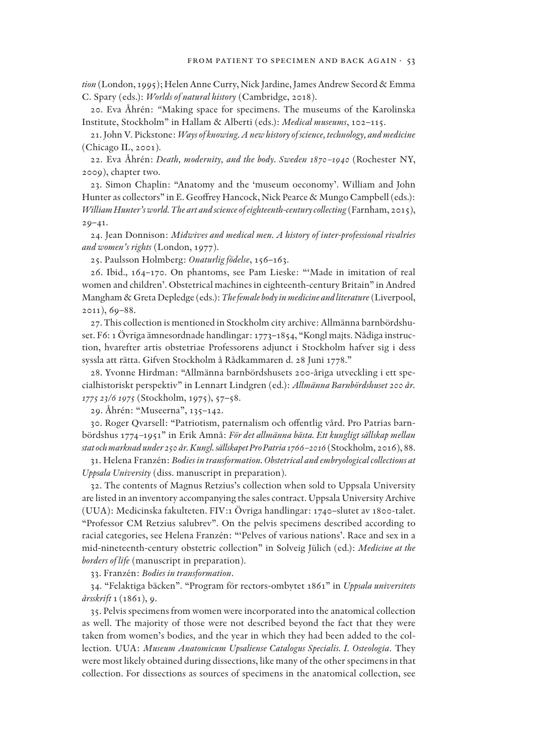*tion* (London, 1995); Helen Anne Curry, Nick Jardine, James Andrew Secord & Emma C. Spary (eds.): *Worlds of natural history* (Cambridge, 2018).

20. Eva Åhrén: *"*Making space for specimens. The museums of the Karolinska Institute, Stockholm" in Hallam & Alberti (eds.): *Medical museums*, 102–115.

21. John V. Pickstone: *Ways of knowing. A new history of science, technology, and medicine* (Chicago IL, 2001).

22. Eva Åhrén: *Death, modernity, and the body. Sweden 1870–1940* (Rochester NY, 2009), chapter two.

23. Simon Chaplin: "Anatomy and the 'museum oeconomy'. William and John Hunter as collectors" in E. Geoffrey Hancock, Nick Pearce & Mungo Campbell (eds.): *William Hunter's world. The art and science of eighteenth-century collecting* (Farnham, 2015),  $20 - 41.$ 

24. Jean Donnison: *Midwives and medical men. A history of inter-professional rivalries and women's rights* (London, 1977).

25. Paulsson Holmberg: *Onaturlig födelse*, 156–163.

26. Ibid., 164–170. On phantoms, see Pam Lieske: "'Made in imitation of real women and children'. Obstetrical machines in eighteenth-century Britain" in Andred Mangham & Greta Depledge (eds.): *The female body in medicine and literature* (Liverpool, 2011), 69–88.

27. This collection is mentioned in Stockholm city archive: Allmänna barnbördshuset. F6: 1 Övriga ämnesordnade handlingar: 1773–1854, "Kongl majts. Nådiga instruction, hvarefter artis obstetriae Professorens adjunct i Stockholm hafver sig i dess syssla att rätta. Gifven Stockholm å Rådkammaren d. 28 Juni 1778."

28. Yvonne Hirdman: "Allmänna barnbördshusets 200-åriga utveckling i ett specialhistoriskt perspektiv" in Lennart Lindgren (ed.): *Allmänna Barnbördshuset 200 år. 1775 23/6 1975* (Stockholm, 1975), 57–58.

29. Åhrén: "Museerna", 135–142.

30. Roger Qvarsell: "Patriotism, paternalism och offentlig vård. Pro Patrias barnbördshus 1774*–*1951" in Erik Amnå: *För det allmänna bästa. Ett kungligt sällskap mellan stat och marknad under 250 år. Kungl. sällskapet Pro Patria 1766–2016* (Stockholm, 2016), 88.

31. Helena Franzén: *Bodies in transformation. Obstetrical and embryological collections at Uppsala University* (diss. manuscript in preparation).

32. The contents of Magnus Retzius's collection when sold to Uppsala University are listed in an inventory accompanying the sales contract. Uppsala University Archive (UUA): Medicinska fakulteten. FIV:1 Övriga handlingar: 1740–slutet av 1800-talet. "Professor CM Retzius salubrev". On the pelvis specimens described according to racial categories, see Helena Franzén: "'Pelves of various nations'. Race and sex in a mid-nineteenth-century obstetric collection" in Solveig Jülich (ed.): *Medicine at the borders of life* (manuscript in preparation).

33. Franzén: *Bodies in transformation*.

34. "Felaktiga bäcken". "Program för rectors-ombytet 1861" in *Uppsala universitets årsskrift* 1 (1861), 9.

35. Pelvis specimens from women were incorporated into the anatomical collection as well. The majority of those were not described beyond the fact that they were taken from women's bodies, and the year in which they had been added to the collection. UUA: *Museum Anatomicum Upsaliense Catalogus Specialis. I. Osteologia*. They were most likely obtained during dissections, like many of the other specimens in that collection. For dissections as sources of specimens in the anatomical collection, see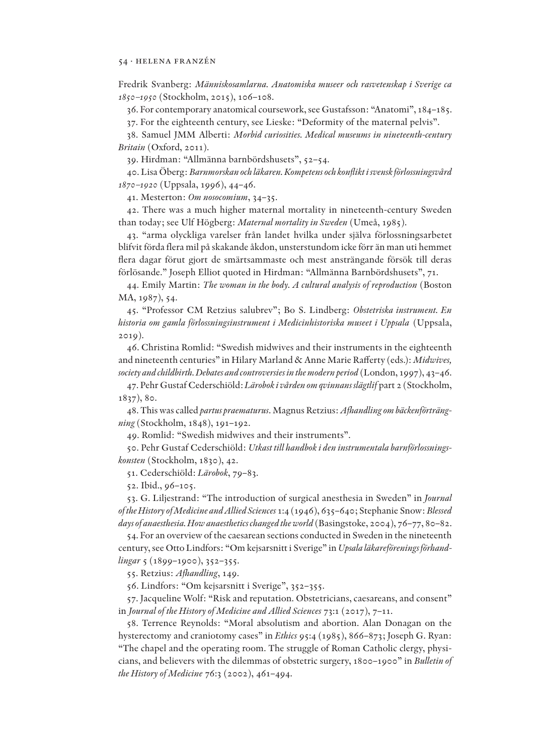Fredrik Svanberg: *Människosamlarna. Anatomiska museer och rasvetenskap i Sverige ca 1850–1950* (Stockholm, 2015), 106–108.

36. For contemporary anatomical coursework, see Gustafsson: "Anatomi", 184–185.

37. For the eighteenth century, see Lieske: "Deformity of the maternal pelvis".

38. Samuel JMM Alberti: *Morbid curiosities. Medical museums in nineteenth-century Britain* (Oxford, 2011).

39. Hirdman: "Allmänna barnbördshusets", 52–54.

40. Lisa Öberg: *Barnmorskan och läkaren. Kompetens och kon!ikt i svensk förlossningsvård 1870–1920* (Uppsala, 1996), 44–46.

41. Mesterton: *Om nosocomium*, 34–35.

42. There was a much higher maternal mortality in nineteenth-century Sweden than today; see Ulf Högberg: *Maternal mortality in Sweden* (Umeå, 1985).

43. "arma olyckliga varelser från landet hvilka under själva förlossningsarbetet blifvit förda flera mil på skakande åkdon, unsterstundom icke förr än man uti hemmet flera dagar förut gjort de smärtsammaste och mest ansträngande försök till deras förlösande." Joseph Elliot quoted in Hirdman: "Allmänna Barnbördshusets", 71.

44. Emily Martin: *The woman in the body. A cultural analysis of reproduction* (Boston MA, 1987), 54.

45. "Professor CM Retzius salubrev"; Bo S. Lindberg: *Obstetriska instrument. En historia om gamla förlossningsinstrument i Medicinhistoriska museet i Uppsala* (Uppsala, 2019).

46. Christina Romlid: "Swedish midwives and their instruments in the eighteenth and nineteenth centuries" in Hilary Marland & Anne Marie Rafferty (eds.): *Midwives*, *society and childbirth. Debates and controversies in the modern period* (London, 1997), 43–46.

47. Pehr Gustaf Cederschiöld: *Lärobok i vården om qvinnans slägtlif* part 2 (Stockholm, 1837), 80.

48. This was called *partus praematurus*. Magnus Retzius: *Afhandling om bäckenförträngning* (Stockholm, 1848), 191–192.

49. Romlid: "Swedish midwives and their instruments".

50. Pehr Gustaf Cederschiöld: *Utkast till handbok i den instrumentala barnförlossningskonsten* (Stockholm, 1830), 42.

51. Cederschiöld: *Lärobok*, 79–83.

52. Ibid., 96–105.

53. G. Liljestrand: "The introduction of surgical anesthesia in Sweden" in *Journal of the History of Medicine and Allied Sciences* 1:4 (1946), 635–640; Stephanie Snow: *Blessed days of anaesthesia. How anaesthetics changed the world* (Basingstoke, 2004), 76–77, 80–82.

54. For an overview of the caesarean sections conducted in Sweden in the nineteenth century, see Otto Lindfors: "Om kejsarsnitt i Sverige" in *Upsala läkareförenings förhandlingar* 5 (1899–1900), 352–355.

55. Retzius: *Afhandling*, 149.

56. Lindfors: "Om kejsarsnitt i Sverige", 352–355.

57. Jacqueline Wolf: "Risk and reputation. Obstetricians, caesareans, and consent" in *Journal of the History of Medicine and Allied Sciences* 73:1 (2017), 7–11.

58. Terrence Reynolds: "Moral absolutism and abortion. Alan Donagan on the hysterectomy and craniotomy cases" in *Ethics* 95:4 (1985), 866–873; Joseph G. Ryan: "The chapel and the operating room. The struggle of Roman Catholic clergy, physicians, and believers with the dilemmas of obstetric surgery, 1800–1900" in *Bulletin of the History of Medicine* 76:3 (2002), 461–494.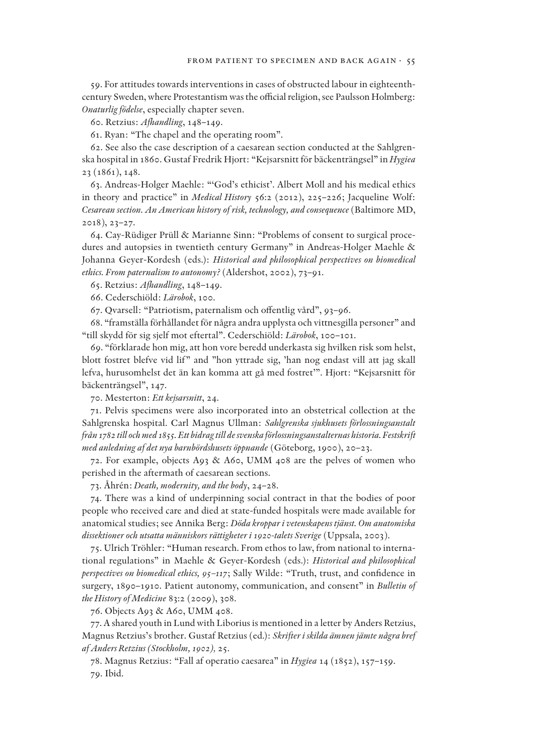59. For attitudes towards interventions in cases of obstructed labour in eighteenthcentury Sweden, where Protestantism was the official religion, see Paulsson Holmberg: *Onaturlig födelse*, especially chapter seven.

60. Retzius: *Afhandling*, 148–149.

61. Ryan: "The chapel and the operating room".

62. See also the case description of a caesarean section conducted at the Sahlgrenska hospital in 1860. Gustaf Fredrik Hjort: "Kejsarsnitt för bäckenträngsel" in *Hygiea* 23 (1861), 148.

63. Andreas-Holger Maehle: "'God's ethicist'. Albert Moll and his medical ethics in theory and practice" in *Medical History* 56:2 (2012), 225–226; Jacqueline Wolf: *Cesarean section. An American history of risk, technology, and consequence* (Baltimore MD, 2018), 23–27.

64. Cay-Rüdiger Prüll & Marianne Sinn: "Problems of consent to surgical procedures and autopsies in twentieth century Germany" in Andreas-Holger Maehle & Johanna Geyer-Kordesh (eds.): *Historical and philosophical perspectives on biomedical ethics. From paternalism to autonomy?* (Aldershot, 2002), 73–91.

65. Retzius: *Afhandling*, 148–149.

66. Cederschiöld: *Lärobok*, 100.

67. Qvarsell: "Patriotism, paternalism och offentlig vård", 93-96.

68. "framställa förhållandet för några andra upplysta och vittnesgilla personer" and "till skydd för sig sjelf mot eftertal". Cederschiöld: *Lärobok*, 100–101.

69. "förklarade hon mig, att hon vore beredd underkasta sig hvilken risk som helst, blott fostret blefve vid lif" and "hon yttrade sig, 'han nog endast vill att jag skall lefva, hurusomhelst det än kan komma att gå med fostret'". Hjort: "Kejsarsnitt för bäckenträngsel", 147.

70. Mesterton: *Ett kejsarsnitt*, 24.

71. Pelvis specimens were also incorporated into an obstetrical collection at the Sahlgrenska hospital. Carl Magnus Ullman: *Sahlgrenska sjukhusets förlossningsanstalt från 1782 till och med 1855. Ett bidrag till de svenska förlossningsanstalternas historia. Festskrift med anledning af det nya barnbördshusets öppnande* (Göteborg, 1900), 20–23.

72. For example, objects A93 & A60, UMM 408 are the pelves of women who perished in the aftermath of caesarean sections.

73. Åhrén: *Death, modernity, and the body*, 24–28.

74. There was a kind of underpinning social contract in that the bodies of poor people who received care and died at state-funded hospitals were made available for anatomical studies; see Annika Berg: *Döda kroppar i vetenskapens tjänst. Om anatomiska dissektioner och utsatta människors rättigheter i 1920-talets Sverige* (Uppsala, 2003).

75. Ulrich Tröhler: "Human research. From ethos to law, from national to international regulations" in Maehle & Geyer-Kordesh (eds.): *Historical and philosophical perspectives on biomedical ethics, 95-117*; Sally Wilde: "Truth, trust, and confidence in surgery, 1890–1910. Patient autonomy, communication, and consent" in *Bulletin of the History of Medicine* 83:2 (2009), 308.

76. Objects A93 & A60, UMM 408.

77. A shared youth in Lund with Liborius is mentioned in a letter by Anders Retzius, Magnus Retzius's brother. Gustaf Retzius (ed.): *Skrifter i skilda ämnen jämte några bref af Anders Retzius (Stockholm, 1902),* 25.

78. Magnus Retzius: "Fall af operatio caesarea" in *Hygiea* 14 (1852), 157–159. 79. Ibid.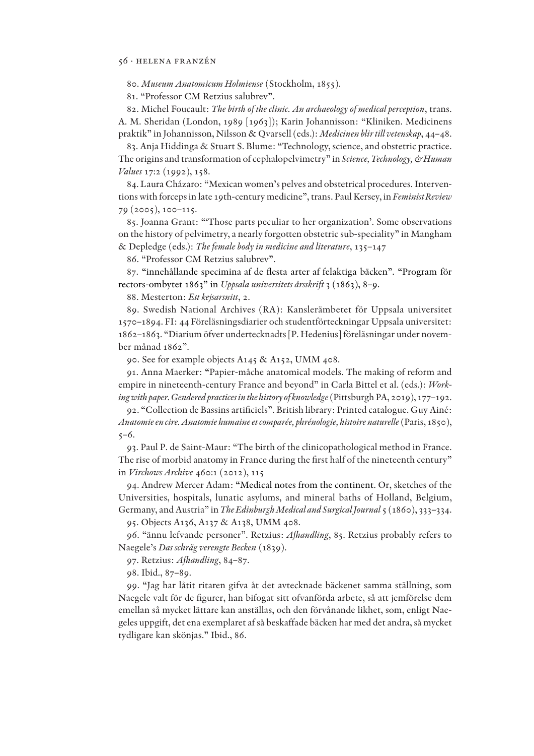80. *Museum Anatomicum Holmiense* (Stockholm, 1855).

81. "Professor CM Retzius salubrev".

82. Michel Foucault: *The birth of the clinic. An archaeology of medical perception*, trans. A. M. Sheridan (London, 1989 [1963]); Karin Johannisson: "Kliniken. Medicinens praktik" in Johannisson, Nilsson & Qvarsell (eds.): *Medicinen blir till vetenskap*, 44–48.

83. Anja Hiddinga & Stuart S. Blume: "Technology, science, and obstetric practice. The origins and transformation of cephalopelvimetry" in *Science, Technology, & Human Values* 17:2 (1992), 158.

84. Laura Cházaro: "Mexican women's pelves and obstetrical procedures. Interventions with forceps in late 19th-century medicine", trans. Paul Kersey, in *Feminist Review* 79 (2005), 100–115.

85. Joanna Grant: "'Those parts peculiar to her organization'. Some observations on the history of pelvimetry, a nearly forgotten obstetric sub-speciality" in Mangham & Depledge (eds.): *The female body in medicine and literature*, 135–147

86. "Professor CM Retzius salubrev".

87. "innehållande specimina af de @esta arter af felaktiga bäcken". "Program för rectors-ombytet 1863" in *Uppsala universitets årsskrift* 3 (1863), 8–9.

88. Mesterton: *Ett kejsarsnitt*, 2.

89. Swedish National Archives (RA): Kanslerämbetet för Uppsala universitet 1570–1894. FI: 44 Föreläsningsdiarier och studentförteckningar Uppsala universitet: 1862–1863. "Diarium öfver undertecknadts [P. Hedenius] föreläsningar under november månad 1862".

90. See for example objects A145 & A152, UMM 408.

91. Anna Maerker: "Papier-mâche anatomical models. The making of reform and empire in nineteenth-century France and beyond" in Carla Bittel et al. (eds.): *Working with paper. Gendered practices in the history of knowledge* (Pittsburgh PA, 2019), 177–192.

92. "Collection de Bassins artificiels". British library: Printed catalogue. Guy Ainé: *Anatomie en cire. Anatomie humaine et comparée, phrénologie, histoire naturelle* (Paris, 1850),  $5 - 6.$ 

93. Paul P. de Saint-Maur: "The birth of the clinicopathological method in France. The rise of morbid anatomy in France during the first half of the nineteenth century" in *Virchows Archive* 460:1 (2012), 115

94. Andrew Mercer Adam: "Medical notes from the continent. Or, sketches of the Universities, hospitals, lunatic asylums, and mineral baths of Holland, Belgium, Germany, and Austria" in *The Edinburgh Medical and Surgical Journal* 5 (1860), 333–334.

95. Objects A136, A137 & A138, UMM 408.

96. "ännu lefvande personer". Retzius: *Afhandling*, 85. Retzius probably refers to Naegele's *Das schräg verengte Becken* (1839).

97. Retzius: *Afhandling*, 84–87.

98. Ibid., 87–89.

99. "Jag har låtit ritaren gifva åt det avtecknade bäckenet samma ställning, som Naegele valt för de figurer, han bifogat sitt ofvanförda arbete, så att jemförelse dem emellan så mycket lättare kan anställas, och den förvånande likhet, som, enligt Naegeles uppgift, det ena exemplaret af så beskaffade bäcken har med det andra, så mycket tydligare kan skönjas." Ibid., 86.